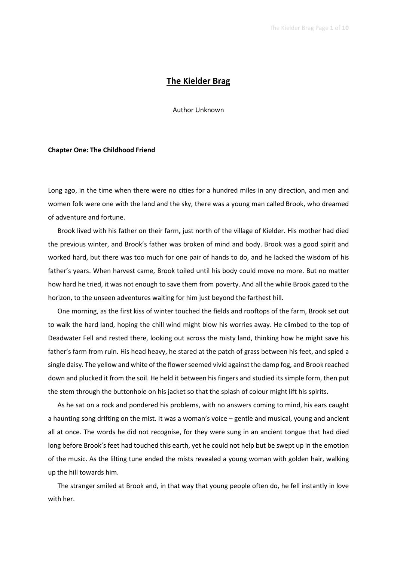# The Kielder Brag

Author Unknown

## Chapter One: The Childhood Friend

Long ago, in the time when there were no cities for a hundred miles in any direction, and men and women folk were one with the land and the sky, there was a young man called Brook, who dreamed of adventure and fortune.

Brook lived with his father on their farm, just north of the village of Kielder. His mother had died the previous winter, and Brook's father was broken of mind and body. Brook was a good spirit and worked hard, but there was too much for one pair of hands to do, and he lacked the wisdom of his father's years. When harvest came, Brook toiled until his body could move no more. But no matter how hard he tried, it was not enough to save them from poverty. And all the while Brook gazed to the horizon, to the unseen adventures waiting for him just beyond the farthest hill.

One morning, as the first kiss of winter touched the fields and rooftops of the farm, Brook set out to walk the hard land, hoping the chill wind might blow his worries away. He climbed to the top of Deadwater Fell and rested there, looking out across the misty land, thinking how he might save his father's farm from ruin. His head heavy, he stared at the patch of grass between his feet, and spied a single daisy. The yellow and white of the flower seemed vivid against the damp fog, and Brook reached down and plucked it from the soil. He held it between his fingers and studied its simple form, then put the stem through the buttonhole on his jacket so that the splash of colour might lift his spirits.

As he sat on a rock and pondered his problems, with no answers coming to mind, his ears caught a haunting song drifting on the mist. It was a woman's voice – gentle and musical, young and ancient all at once. The words he did not recognise, for they were sung in an ancient tongue that had died long before Brook's feet had touched this earth, yet he could not help but be swept up in the emotion of the music. As the lilting tune ended the mists revealed a young woman with golden hair, walking up the hill towards him.

The stranger smiled at Brook and, in that way that young people often do, he fell instantly in love with her.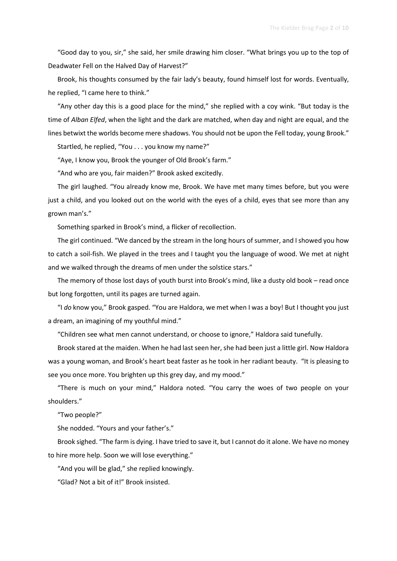"Good day to you, sir," she said, her smile drawing him closer. "What brings you up to the top of Deadwater Fell on the Halved Day of Harvest?"

Brook, his thoughts consumed by the fair lady's beauty, found himself lost for words. Eventually, he replied, "I came here to think."

"Any other day this is a good place for the mind," she replied with a coy wink. "But today is the time of Alban Elfed, when the light and the dark are matched, when day and night are equal, and the lines betwixt the worlds become mere shadows. You should not be upon the Fell today, young Brook."

Startled, he replied, "You . . . you know my name?"

"Aye, I know you, Brook the younger of Old Brook's farm."

"And who are you, fair maiden?" Brook asked excitedly.

The girl laughed. "You already know me, Brook. We have met many times before, but you were just a child, and you looked out on the world with the eyes of a child, eyes that see more than any grown man's."

Something sparked in Brook's mind, a flicker of recollection.

The girl continued. "We danced by the stream in the long hours of summer, and I showed you how to catch a soil-fish. We played in the trees and I taught you the language of wood. We met at night and we walked through the dreams of men under the solstice stars."

The memory of those lost days of youth burst into Brook's mind, like a dusty old book – read once but long forgotten, until its pages are turned again.

"I do know you," Brook gasped. "You are Haldora, we met when I was a boy! But I thought you just a dream, an imagining of my youthful mind."

"Children see what men cannot understand, or choose to ignore," Haldora said tunefully.

Brook stared at the maiden. When he had last seen her, she had been just a little girl. Now Haldora was a young woman, and Brook's heart beat faster as he took in her radiant beauty. "It is pleasing to see you once more. You brighten up this grey day, and my mood."

"There is much on your mind," Haldora noted. "You carry the woes of two people on your shoulders."

"Two people?"

She nodded. "Yours and your father's."

Brook sighed. "The farm is dying. I have tried to save it, but I cannot do it alone. We have no money to hire more help. Soon we will lose everything."

"And you will be glad," she replied knowingly.

"Glad? Not a bit of it!" Brook insisted.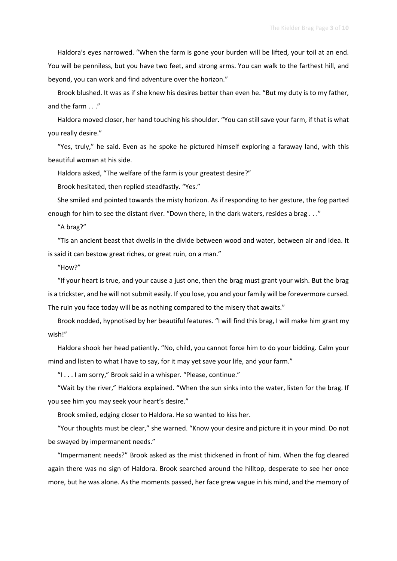Haldora's eyes narrowed. "When the farm is gone your burden will be lifted, your toil at an end. You will be penniless, but you have two feet, and strong arms. You can walk to the farthest hill, and beyond, you can work and find adventure over the horizon."

Brook blushed. It was as if she knew his desires better than even he. "But my duty is to my father, and the farm . . ."

Haldora moved closer, her hand touching his shoulder. "You can still save your farm, if that is what you really desire."

"Yes, truly," he said. Even as he spoke he pictured himself exploring a faraway land, with this beautiful woman at his side.

Haldora asked, "The welfare of the farm is your greatest desire?"

Brook hesitated, then replied steadfastly. "Yes."

She smiled and pointed towards the misty horizon. As if responding to her gesture, the fog parted enough for him to see the distant river. "Down there, in the dark waters, resides a brag . . ."

"A brag?"

"Tis an ancient beast that dwells in the divide between wood and water, between air and idea. It is said it can bestow great riches, or great ruin, on a man."

"How?"

"If your heart is true, and your cause a just one, then the brag must grant your wish. But the brag is a trickster, and he will not submit easily. If you lose, you and your family will be forevermore cursed. The ruin you face today will be as nothing compared to the misery that awaits."

Brook nodded, hypnotised by her beautiful features. "I will find this brag, I will make him grant my wish!"

Haldora shook her head patiently. "No, child, you cannot force him to do your bidding. Calm your mind and listen to what I have to say, for it may yet save your life, and your farm."

"I . . . I am sorry," Brook said in a whisper. "Please, continue."

"Wait by the river," Haldora explained. "When the sun sinks into the water, listen for the brag. If you see him you may seek your heart's desire."

Brook smiled, edging closer to Haldora. He so wanted to kiss her.

"Your thoughts must be clear," she warned. "Know your desire and picture it in your mind. Do not be swayed by impermanent needs."

"Impermanent needs?" Brook asked as the mist thickened in front of him. When the fog cleared again there was no sign of Haldora. Brook searched around the hilltop, desperate to see her once more, but he was alone. As the moments passed, her face grew vague in his mind, and the memory of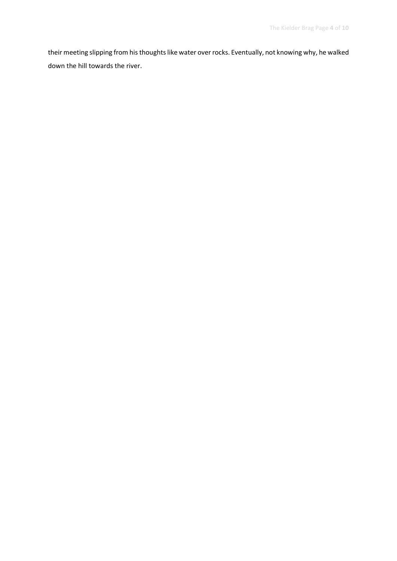their meeting slipping from his thoughts like water over rocks. Eventually, not knowing why, he walked down the hill towards the river.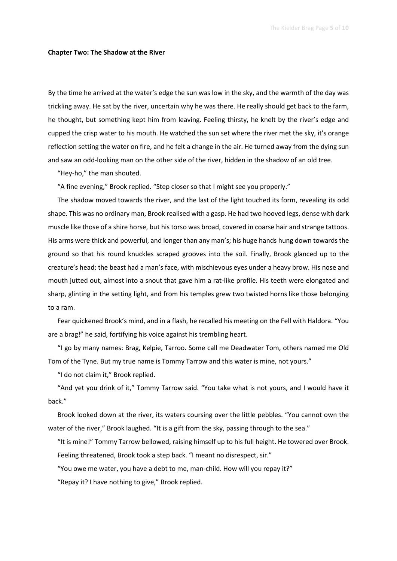#### Chapter Two: The Shadow at the River

By the time he arrived at the water's edge the sun was low in the sky, and the warmth of the day was trickling away. He sat by the river, uncertain why he was there. He really should get back to the farm, he thought, but something kept him from leaving. Feeling thirsty, he knelt by the river's edge and cupped the crisp water to his mouth. He watched the sun set where the river met the sky, it's orange reflection setting the water on fire, and he felt a change in the air. He turned away from the dying sun and saw an odd-looking man on the other side of the river, hidden in the shadow of an old tree.

"Hey-ho," the man shouted.

"A fine evening," Brook replied. "Step closer so that I might see you properly."

The shadow moved towards the river, and the last of the light touched its form, revealing its odd shape. This was no ordinary man, Brook realised with a gasp. He had two hooved legs, dense with dark muscle like those of a shire horse, but his torso was broad, covered in coarse hair and strange tattoos. His arms were thick and powerful, and longer than any man's; his huge hands hung down towards the ground so that his round knuckles scraped grooves into the soil. Finally, Brook glanced up to the creature's head: the beast had a man's face, with mischievous eyes under a heavy brow. His nose and mouth jutted out, almost into a snout that gave him a rat-like profile. His teeth were elongated and sharp, glinting in the setting light, and from his temples grew two twisted horns like those belonging to a ram.

Fear quickened Brook's mind, and in a flash, he recalled his meeting on the Fell with Haldora. "You are a brag!" he said, fortifying his voice against his trembling heart.

"I go by many names: Brag, Kelpie, Tarroo. Some call me Deadwater Tom, others named me Old Tom of the Tyne. But my true name is Tommy Tarrow and this water is mine, not yours."

"I do not claim it," Brook replied.

"And yet you drink of it," Tommy Tarrow said. "You take what is not yours, and I would have it back."

Brook looked down at the river, its waters coursing over the little pebbles. "You cannot own the water of the river," Brook laughed. "It is a gift from the sky, passing through to the sea."

"It is mine!" Tommy Tarrow bellowed, raising himself up to his full height. He towered over Brook. Feeling threatened, Brook took a step back. "I meant no disrespect, sir."

"You owe me water, you have a debt to me, man-child. How will you repay it?"

"Repay it? I have nothing to give," Brook replied.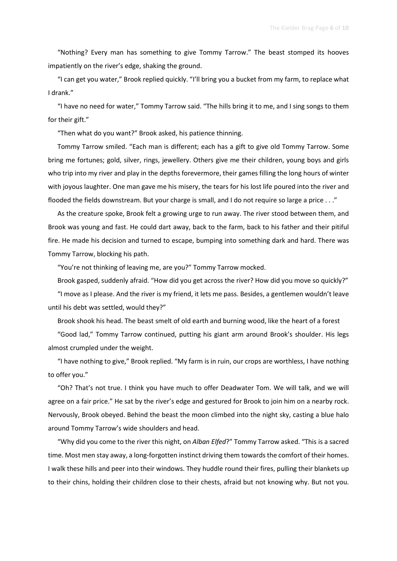"Nothing? Every man has something to give Tommy Tarrow." The beast stomped its hooves impatiently on the river's edge, shaking the ground.

"I can get you water," Brook replied quickly. "I'll bring you a bucket from my farm, to replace what I drank."

"I have no need for water," Tommy Tarrow said. "The hills bring it to me, and I sing songs to them for their gift."

"Then what do you want?" Brook asked, his patience thinning.

Tommy Tarrow smiled. "Each man is different; each has a gift to give old Tommy Tarrow. Some bring me fortunes; gold, silver, rings, jewellery. Others give me their children, young boys and girls who trip into my river and play in the depths forevermore, their games filling the long hours of winter with joyous laughter. One man gave me his misery, the tears for his lost life poured into the river and flooded the fields downstream. But your charge is small, and I do not require so large a price . . ."

As the creature spoke, Brook felt a growing urge to run away. The river stood between them, and Brook was young and fast. He could dart away, back to the farm, back to his father and their pitiful fire. He made his decision and turned to escape, bumping into something dark and hard. There was Tommy Tarrow, blocking his path.

"You're not thinking of leaving me, are you?" Tommy Tarrow mocked.

Brook gasped, suddenly afraid. "How did you get across the river? How did you move so quickly?"

"I move as I please. And the river is my friend, it lets me pass. Besides, a gentlemen wouldn't leave until his debt was settled, would they?"

Brook shook his head. The beast smelt of old earth and burning wood, like the heart of a forest

"Good lad," Tommy Tarrow continued, putting his giant arm around Brook's shoulder. His legs almost crumpled under the weight.

"I have nothing to give," Brook replied. "My farm is in ruin, our crops are worthless, I have nothing to offer you."

"Oh? That's not true. I think you have much to offer Deadwater Tom. We will talk, and we will agree on a fair price." He sat by the river's edge and gestured for Brook to join him on a nearby rock. Nervously, Brook obeyed. Behind the beast the moon climbed into the night sky, casting a blue halo around Tommy Tarrow's wide shoulders and head.

"Why did you come to the river this night, on Alban Elfed?" Tommy Tarrow asked. "This is a sacred time. Most men stay away, a long-forgotten instinct driving them towards the comfort of their homes. I walk these hills and peer into their windows. They huddle round their fires, pulling their blankets up to their chins, holding their children close to their chests, afraid but not knowing why. But not you.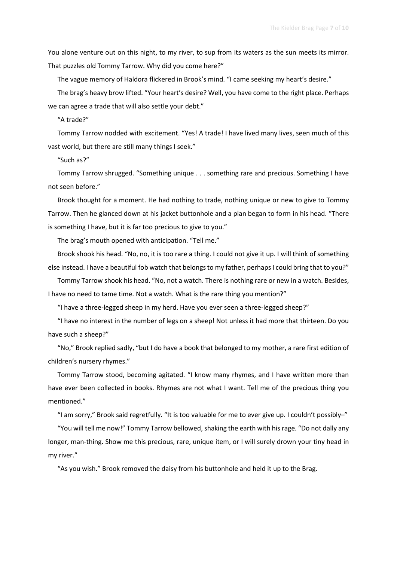You alone venture out on this night, to my river, to sup from its waters as the sun meets its mirror. That puzzles old Tommy Tarrow. Why did you come here?"

The vague memory of Haldora flickered in Brook's mind. "I came seeking my heart's desire."

The brag's heavy brow lifted. "Your heart's desire? Well, you have come to the right place. Perhaps we can agree a trade that will also settle your debt."

"A trade?"

Tommy Tarrow nodded with excitement. "Yes! A trade! I have lived many lives, seen much of this vast world, but there are still many things I seek."

"Such as?"

Tommy Tarrow shrugged. "Something unique . . . something rare and precious. Something I have not seen before."

Brook thought for a moment. He had nothing to trade, nothing unique or new to give to Tommy Tarrow. Then he glanced down at his jacket buttonhole and a plan began to form in his head. "There is something I have, but it is far too precious to give to you."

The brag's mouth opened with anticipation. "Tell me."

Brook shook his head. "No, no, it is too rare a thing. I could not give it up. I will think of something else instead. I have a beautiful fob watch that belongs to my father, perhaps I could bring that to you?"

Tommy Tarrow shook his head. "No, not a watch. There is nothing rare or new in a watch. Besides, I have no need to tame time. Not a watch. What is the rare thing you mention?"

"I have a three-legged sheep in my herd. Have you ever seen a three-legged sheep?"

"I have no interest in the number of legs on a sheep! Not unless it had more that thirteen. Do you have such a sheep?"

"No," Brook replied sadly, "but I do have a book that belonged to my mother, a rare first edition of children's nursery rhymes."

Tommy Tarrow stood, becoming agitated. "I know many rhymes, and I have written more than have ever been collected in books. Rhymes are not what I want. Tell me of the precious thing you mentioned."

"I am sorry," Brook said regretfully. "It is too valuable for me to ever give up. I couldn't possibly–"

"You will tell me now!" Tommy Tarrow bellowed, shaking the earth with his rage. "Do not dally any longer, man-thing. Show me this precious, rare, unique item, or I will surely drown your tiny head in my river."

"As you wish." Brook removed the daisy from his buttonhole and held it up to the Brag.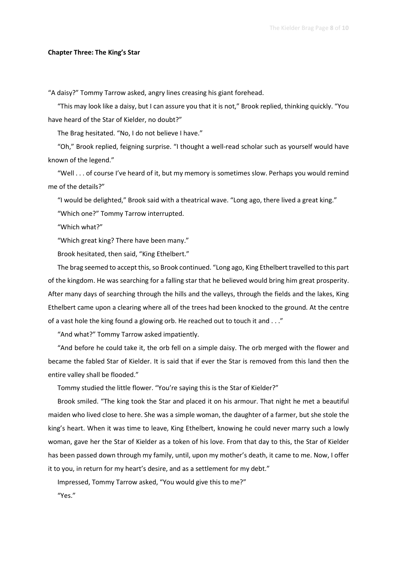### Chapter Three: The King's Star

"A daisy?" Tommy Tarrow asked, angry lines creasing his giant forehead.

"This may look like a daisy, but I can assure you that it is not," Brook replied, thinking quickly. "You have heard of the Star of Kielder, no doubt?"

The Brag hesitated. "No, I do not believe I have."

"Oh," Brook replied, feigning surprise. "I thought a well-read scholar such as yourself would have known of the legend."

"Well . . . of course I've heard of it, but my memory is sometimes slow. Perhaps you would remind me of the details?"

"I would be delighted," Brook said with a theatrical wave. "Long ago, there lived a great king."

"Which one?" Tommy Tarrow interrupted.

"Which what?"

"Which great king? There have been many."

Brook hesitated, then said, "King Ethelbert."

The brag seemed to accept this, so Brook continued. "Long ago, King Ethelbert travelled to this part of the kingdom. He was searching for a falling star that he believed would bring him great prosperity. After many days of searching through the hills and the valleys, through the fields and the lakes, King Ethelbert came upon a clearing where all of the trees had been knocked to the ground. At the centre of a vast hole the king found a glowing orb. He reached out to touch it and . . ."

"And what?" Tommy Tarrow asked impatiently.

"And before he could take it, the orb fell on a simple daisy. The orb merged with the flower and became the fabled Star of Kielder. It is said that if ever the Star is removed from this land then the entire valley shall be flooded."

Tommy studied the little flower. "You're saying this is the Star of Kielder?"

Brook smiled. "The king took the Star and placed it on his armour. That night he met a beautiful maiden who lived close to here. She was a simple woman, the daughter of a farmer, but she stole the king's heart. When it was time to leave, King Ethelbert, knowing he could never marry such a lowly woman, gave her the Star of Kielder as a token of his love. From that day to this, the Star of Kielder has been passed down through my family, until, upon my mother's death, it came to me. Now, I offer it to you, in return for my heart's desire, and as a settlement for my debt."

Impressed, Tommy Tarrow asked, "You would give this to me?"

"Yes."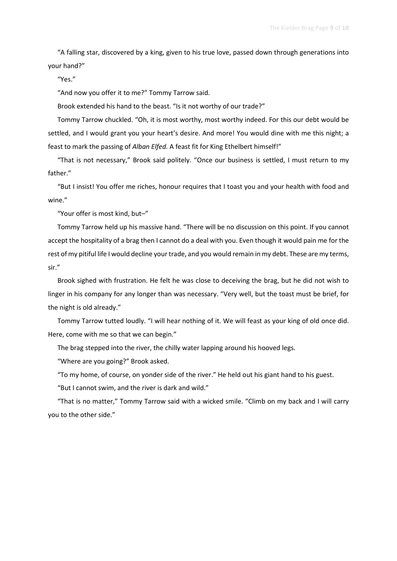"A falling star, discovered by a king, given to his true love, passed down through generations into your hand?"

"Yes."

"And now you offer it to me?" Tommy Tarrow said.

Brook extended his hand to the beast. "Is it not worthy of our trade?"

Tommy Tarrow chuckled. "Oh, it is most worthy, most worthy indeed. For this our debt would be settled, and I would grant you your heart's desire. And more! You would dine with me this night; a feast to mark the passing of Alban Elfed. A feast fit for King Ethelbert himself!"

"That is not necessary," Brook said politely. "Once our business is settled, I must return to my father."

"But I insist! You offer me riches, honour requires that I toast you and your health with food and wine."

"Your offer is most kind, but–"

Tommy Tarrow held up his massive hand. "There will be no discussion on this point. If you cannot accept the hospitality of a brag then I cannot do a deal with you. Even though it would pain me for the rest of my pitiful life I would decline your trade, and you would remain in my debt. These are my terms, sir."

Brook sighed with frustration. He felt he was close to deceiving the brag, but he did not wish to linger in his company for any longer than was necessary. "Very well, but the toast must be brief, for the night is old already."

Tommy Tarrow tutted loudly. "I will hear nothing of it. We will feast as your king of old once did. Here, come with me so that we can begin."

The brag stepped into the river, the chilly water lapping around his hooved legs.

"Where are you going?" Brook asked.

"To my home, of course, on yonder side of the river." He held out his giant hand to his guest.

"But I cannot swim, and the river is dark and wild."

"That is no matter," Tommy Tarrow said with a wicked smile. "Climb on my back and I will carry you to the other side."